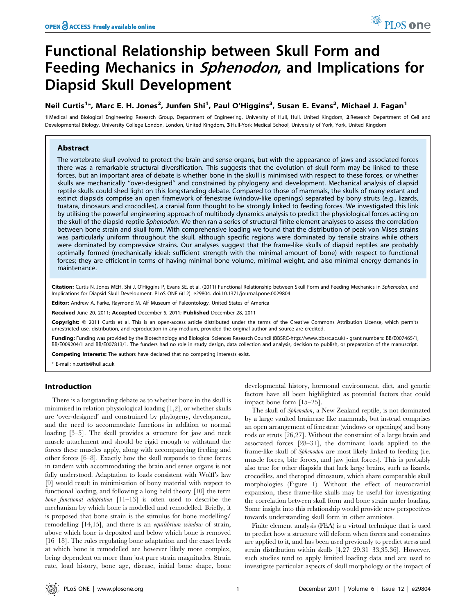# Functional Relationship between Skull Form and Feeding Mechanics in *Sphenodon*, and Implications for Diapsid Skull Development

# Neil Curtis<sup>1</sup>\*, Marc E. H. Jones<sup>2</sup>, Junfen Shi<sup>1</sup>, Paul O'Higgins<sup>3</sup>, Susan E. Evans<sup>2</sup>, Michael J. Fagan<sup>1</sup>

1 Medical and Biological Engineering Research Group, Department of Engineering, University of Hull, Hull, United Kingdom, 2 Research Department of Cell and Developmental Biology, University College London, London, United Kingdom, 3 Hull-York Medical School, University of York, York, United Kingdom

# Abstract

The vertebrate skull evolved to protect the brain and sense organs, but with the appearance of jaws and associated forces there was a remarkable structural diversification. This suggests that the evolution of skull form may be linked to these forces, but an important area of debate is whether bone in the skull is minimised with respect to these forces, or whether skulls are mechanically ''over-designed'' and constrained by phylogeny and development. Mechanical analysis of diapsid reptile skulls could shed light on this longstanding debate. Compared to those of mammals, the skulls of many extant and extinct diapsids comprise an open framework of fenestrae (window-like openings) separated by bony struts (e.g., lizards, tuatara, dinosaurs and crocodiles), a cranial form thought to be strongly linked to feeding forces. We investigated this link by utilising the powerful engineering approach of multibody dynamics analysis to predict the physiological forces acting on the skull of the diapsid reptile Sphenodon. We then ran a series of structural finite element analyses to assess the correlation between bone strain and skull form. With comprehensive loading we found that the distribution of peak von Mises strains was particularly uniform throughout the skull, although specific regions were dominated by tensile strains while others were dominated by compressive strains. Our analyses suggest that the frame-like skulls of diapsid reptiles are probably optimally formed (mechanically ideal: sufficient strength with the minimal amount of bone) with respect to functional forces; they are efficient in terms of having minimal bone volume, minimal weight, and also minimal energy demands in maintenance.

Citation: Curtis N, Jones MEH, Shi J, O'Higgins P, Evans SE, et al. (2011) Functional Relationship between Skull Form and Feeding Mechanics in Sphenodon, and Implications for Diapsid Skull Development. PLoS ONE 6(12): e29804. doi:10.1371/journal.pone.0029804

Editor: Andrew A. Farke, Raymond M. Alf Museum of Paleontology, United States of America

Received June 20, 2011; Accepted December 5, 2011; Published December 28, 2011

Copyright: © 2011 Curtis et al. This is an open-access article distributed under the terms of the Creative Commons Attribution License, which permits unrestricted use, distribution, and reproduction in any medium, provided the original author and source are credited.

Funding: Funding was provided by the Biotechnology and Biological Sciences Research Council (BBSRC-http://www.bbsrc.ac.uk) - grant numbers: BB/E007465/1, BB/E009204/1 and BB/E007813/1. The funders had no role in study design, data collection and analysis, decision to publish, or preparation of the manuscript.

Competing Interests: The authors have declared that no competing interests exist.

\* E-mail: n.curtis@hull.ac.uk

### Introduction

There is a longstanding debate as to whether bone in the skull is minimised in relation physiological loading [1,2], or whether skulls are 'over-designed' and constrained by phylogeny, development, and the need to accommodate functions in addition to normal loading [3–5]. The skull provides a structure for jaw and neck muscle attachment and should be rigid enough to withstand the forces these muscles apply, along with accompanying feeding and other forces [6–8]. Exactly how the skull responds to these forces in tandem with accommodating the brain and sense organs is not fully understood. Adaptation to loads consistent with Wolff's law [9] would result in minimisation of bony material with respect to functional loading, and following a long held theory [10] the term bone functional adaptation  $[11-13]$  is often used to describe the mechanism by which bone is modelled and remodelled. Briefly, it is proposed that bone strain is the stimulus for bone modelling/ remodelling [14,15], and there is an *equilibrium window* of strain, above which bone is deposited and below which bone is removed [16–18]. The rules regulating bone adaptation and the exact levels at which bone is remodelled are however likely more complex, being dependent on more than just pure strain magnitudes. Strain rate, load history, bone age, disease, initial bone shape, bone developmental history, hormonal environment, diet, and genetic factors have all been highlighted as potential factors that could impact bone form [15–25].

The skull of Sphenodon, a New Zealand reptile, is not dominated by a large vaulted braincase like mammals, but instead comprises an open arrangement of fenestrae (windows or openings) and bony rods or struts [26,27]. Without the constraint of a large brain and associated forces [28–31], the dominant loads applied to the frame-like skull of Sphenodon are most likely linked to feeding (i.e. muscle forces, bite forces, and jaw joint forces). This is probably also true for other diapsids that lack large brains, such as lizards, crocodiles, and theropod dinosaurs, which share comparable skull morphologies (Figure 1). Without the effect of neurocranial expansion, these frame-like skulls may be useful for investigating the correlation between skull form and bone strain under loading. Some insight into this relationship would provide new perspectives towards understanding skull form in other amniotes.

Finite element analysis (FEA) is a virtual technique that is used to predict how a structure will deform when forces and constraints are applied to it, and has been used previously to predict stress and strain distribution within skulls [4,27–29,31–33,35,36]. However, such studies tend to apply limited loading data and are used to investigate particular aspects of skull morphology or the impact of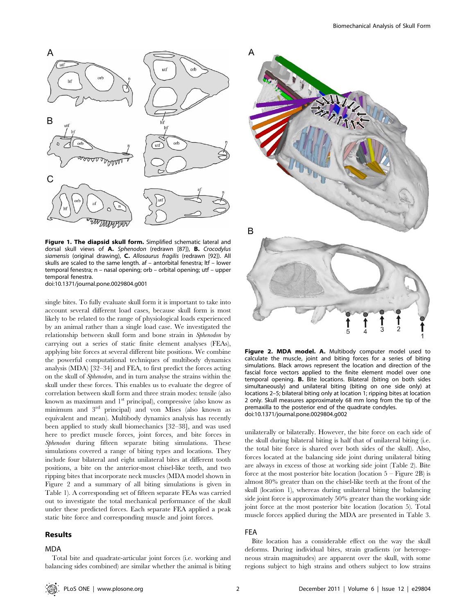

Figure 1. The diapsid skull form. Simplified schematic lateral and dorsal skull views of A. Sphenodon (redrawn [87]), B. Crocodylus siamensis (original drawing), C. Allosaurus fragilis (redrawn [92]). All skulls are scaled to the same length. af – antorbital fenestra; ltf – lower temporal fenestra; n – nasal opening; orb – orbital opening; utf – upper temporal fenestra.

doi:10.1371/journal.pone.0029804.g001

single bites. To fully evaluate skull form it is important to take into account several different load cases, because skull form is most likely to be related to the range of physiological loads experienced by an animal rather than a single load case. We investigated the relationship between skull form and bone strain in Sphenodon by carrying out a series of static finite element analyses (FEAs), applying bite forces at several different bite positions. We combine the powerful computational techniques of multibody dynamics analysis (MDA) [32–34] and FEA, to first predict the forces acting on the skull of Sphenodon, and in turn analyse the strains within the skull under these forces. This enables us to evaluate the degree of correlation between skull form and three strain modes: tensile (also known as maximum and 1<sup>st</sup> principal), compressive (also know as minimum and 3rd principal) and von Mises (also known as equivalent and mean). Multibody dynamics analysis has recently been applied to study skull biomechanics [32–38], and was used here to predict muscle forces, joint forces, and bite forces in Sphenodon during fifteen separate biting simulations. These simulations covered a range of biting types and locations. They include four bilateral and eight unilateral bites at different tooth positions, a bite on the anterior-most chisel-like teeth, and two ripping bites that incorporate neck muscles (MDA model shown in Figure 2 and a summary of all biting simulations is given in Table 1). A corresponding set of fifteen separate FEAs was carried out to investigate the total mechanical performance of the skull under these predicted forces. Each separate FEA applied a peak static bite force and corresponding muscle and joint forces.

# Results

#### MDA

Total bite and quadrate-articular joint forces (i.e. working and balancing sides combined) are similar whether the animal is biting



Figure 2. MDA model. A. Multibody computer model used to calculate the muscle, joint and biting forces for a series of biting simulations. Black arrows represent the location and direction of the fascial force vectors applied to the finite element model over one temporal opening. B. Bite locations. Bilateral (biting on both sides simultaneously) and unilateral biting (biting on one side only) at locations 2–5; bilateral biting only at location 1; ripping bites at location 2 only. Skull measures approximately 68 mm long from the tip of the premaxilla to the posterior end of the quadrate condyles. doi:10.1371/journal.pone.0029804.g002

unilaterally or bilaterally. However, the bite force on each side of the skull during bilateral biting is half that of unilateral biting (i.e. the total bite force is shared over both sides of the skull). Also, forces located at the balancing side joint during unilateral biting are always in excess of those at working side joint (Table 2). Bite force at the most posterior bite location (location  $5 -$  Figure 2B) is almost 80% greater than on the chisel-like teeth at the front of the skull (location 1), whereas during unilateral biting the balancing side joint force is approximately 50% greater than the working side joint force at the most posterior bite location (location 5). Total muscle forces applied during the MDA are presented in Table 3.

#### FEA

Bite location has a considerable effect on the way the skull deforms. During individual bites, strain gradients (or heterogeneous strain magnitudes) are apparent over the skull, with some regions subject to high strains and others subject to low strains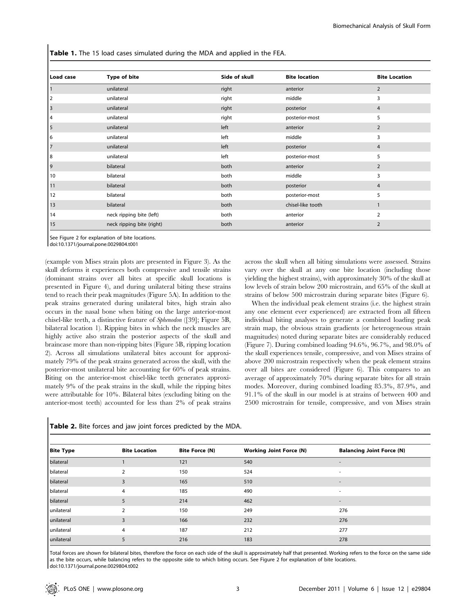Table 1. The 15 load cases simulated during the MDA and applied in the FEA.

| Load case                | <b>Type of bite</b>       | Side of skull | <b>Bite location</b> | <b>Bite Location</b> |
|--------------------------|---------------------------|---------------|----------------------|----------------------|
| $\mathbf{1}$             | unilateral                | right         | anterior             | $\overline{2}$       |
| $\vert$ 2                | unilateral                | right         | middle               | 3                    |
| $\overline{\mathbf{3}}$  | unilateral                | right         | posterior            | $\overline{4}$       |
| $\overline{4}$           | unilateral                | right         | posterior-most       | 5                    |
| $\overline{\phantom{a}}$ | unilateral                | left          | anterior             | $\overline{2}$       |
| 6                        | unilateral                | left          | middle               | $\overline{3}$       |
| $\overline{7}$           | unilateral                | left          | posterior            | 4                    |
| 8                        | unilateral                | left          | posterior-most       | 5                    |
| 9                        | bilateral                 | both          | anterior             | $\overline{2}$       |
| 10                       | bilateral                 | both          | middle               | 3                    |
| 11                       | bilateral                 | both          | posterior            | 4                    |
| 12                       | bilateral                 | both          | posterior-most       | 5                    |
| 13                       | bilateral                 | both          | chisel-like tooth    | $\mathbf{1}$         |
| 14                       | neck ripping bite (left)  | both          | anterior             | $\overline{2}$       |
| 15                       | neck ripping bite (right) | both          | anterior             | $\overline{2}$       |

See Figure 2 for explanation of bite locations.

doi:10.1371/journal.pone.0029804.t001

(example von Mises strain plots are presented in Figure 3). As the skull deforms it experiences both compressive and tensile strains (dominant strains over all bites at specific skull locations is presented in Figure 4), and during unilateral biting these strains tend to reach their peak magnitudes (Figure 5A). In addition to the peak strains generated during unilateral bites, high strain also occurs in the nasal bone when biting on the large anterior-most chisel-like teeth, a distinctive feature of Sphenodon ([39]; Figure 5B, bilateral location 1). Ripping bites in which the neck muscles are highly active also strain the posterior aspects of the skull and braincase more than non-ripping bites (Figure 5B, ripping location 2). Across all simulations unilateral bites account for approximately 79% of the peak strains generated across the skull, with the posterior-most unilateral bite accounting for 60% of peak strains. Biting on the anterior-most chisel-like teeth generates approximately 9% of the peak strains in the skull, while the ripping bites were attributable for 10%. Bilateral bites (excluding biting on the anterior-most teeth) accounted for less than 2% of peak strains

across the skull when all biting simulations were assessed. Strains vary over the skull at any one bite location (including those yielding the highest strains), with approximately 30% of the skull at low levels of strain below 200 microstrain, and 65% of the skull at strains of below 500 microstrain during separate bites (Figure 6).

When the individual peak element strains (i.e. the highest strain any one element ever experienced) are extracted from all fifteen individual biting analyses to generate a combined loading peak strain map, the obvious strain gradients (or heterogeneous strain magnitudes) noted during separate bites are considerably reduced (Figure 7). During combined loading 94.6%, 96.7%, and 98.0% of the skull experiences tensile, compressive, and von Mises strains of above 200 microstrain respectively when the peak element strains over all bites are considered (Figure 6). This compares to an average of approximately 70% during separate bites for all strain modes. Moreover, during combined loading 85.3%, 87.9%, and 91.1% of the skull in our model is at strains of between 400 and 2500 microstrain for tensile, compressive, and von Mises strain

| <b>Bite Type</b> | <b>Bite Location</b> | <b>Bite Force (N)</b> | <b>Working Joint Force (N)</b> | <b>Balancing Joint Force (N)</b> |
|------------------|----------------------|-----------------------|--------------------------------|----------------------------------|
| bilateral        |                      | 121                   | 540                            |                                  |
| bilateral        | $\overline{2}$       | 150                   | 524                            | ٠                                |
| bilateral        | 3                    | 165                   | 510                            |                                  |
| bilateral        | 4                    | 185                   | 490                            | ٠                                |
| bilateral        | 5                    | 214                   | 462                            |                                  |
| unilateral       | 2                    | 150                   | 249                            | 276                              |
| unilateral       | 3                    | 166                   | 232                            | 276                              |
| unilateral       | 4                    | 187                   | 212                            | 277                              |
| unilateral       | 5                    | 216                   | 183                            | 278                              |

Table 2. Bite forces and jaw joint forces predicted by the MDA.

Total forces are shown for bilateral bites, therefore the force on each side of the skull is approximately half that presented. Working refers to the force on the same side as the bite occurs, while balancing refers to the opposite side to which biting occurs. See Figure 2 for explanation of bite locations. doi:10.1371/journal.pone.0029804.t002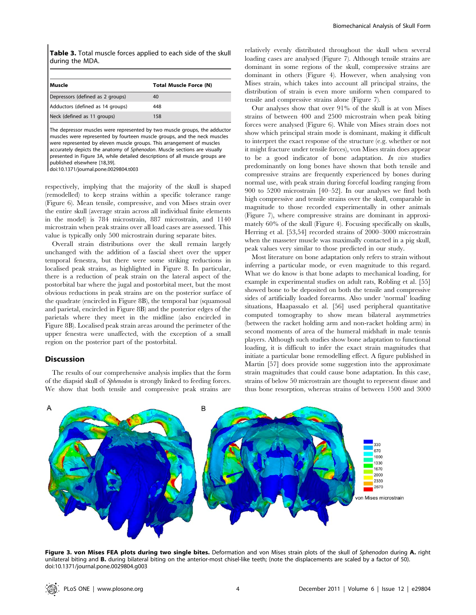Table 3. Total muscle forces applied to each side of the skull during the MDA.

| l Muscle                         | <b>Total Muscle Force (N)</b> |
|----------------------------------|-------------------------------|
| Depressors (defined as 2 groups) | 40                            |
| Adductors (defined as 14 groups) | 448                           |
| Neck (defined as 11 groups)      | 158                           |

The depressor muscles were represented by two muscle groups, the adductor muscles were represented by fourteen muscle groups, and the neck muscles were represented by eleven muscle groups. This arrangement of muscles accurately depicts the anatomy of Sphenodon. Muscle sections are visually presented in Figure 3A, while detailed descriptions of all muscle groups are published elsewhere [18,39]. doi:10.1371/journal.pone.0029804.t003

respectively, implying that the majority of the skull is shaped (remodelled) to keep strains within a specific tolerance range (Figure 6). Mean tensile, compressive, and von Mises strain over the entire skull (average strain across all individual finite elements in the model) is 784 microstrain, 887 microstrain, and 1140 microstrain when peak strains over all load cases are assessed. This value is typically only 500 microstrain during separate bites.

Overall strain distributions over the skull remain largely unchanged with the addition of a fascial sheet over the upper temporal fenestra, but there were some striking reductions in localised peak strains, as highlighted in Figure 8. In particular, there is a reduction of peak strain on the lateral aspect of the postorbital bar where the jugal and postorbital meet, but the most obvious reductions in peak strains are on the posterior surface of the quadrate (encircled in Figure 8B), the temporal bar (squamosal and parietal, encircled in Figure 8B) and the posterior edges of the parietals where they meet in the midline (also encircled in Figure 8B). Localised peak strain areas around the perimeter of the upper fenestra were unaffected, with the exception of a small region on the posterior part of the postorbital.

#### **Discussion**

The results of our comprehensive analysis implies that the form of the diapsid skull of Sphenodon is strongly linked to feeding forces. We show that both tensile and compressive peak strains are relatively evenly distributed throughout the skull when several loading cases are analysed (Figure 7). Although tensile strains are dominant in some regions of the skull, compressive strains are dominant in others (Figure 4). However, when analysing von Mises strain, which takes into account all principal strains, the distribution of strain is even more uniform when compared to tensile and compressive strains alone (Figure 7).

Our analyses show that over 91% of the skull is at von Mises strains of between 400 and 2500 microstrain when peak biting forces were analysed (Figure 6). While von Mises strain does not show which principal strain mode is dominant, making it difficult to interpret the exact response of the structure (e.g. whether or not it might fracture under tensile forces), von Mises strain does appear to be a good indicator of bone adaptation. In vivo studies predominantly on long bones have shown that both tensile and compressive strains are frequently experienced by bones during normal use, with peak strain during forceful loading ranging from 900 to 5200 microstrain [40–52]. In our analyses we find both high compressive and tensile strains over the skull, comparable in magnitude to those recorded experimentally in other animals (Figure 7), where compressive strains are dominant in approximately 60% of the skull (Figure 4). Focusing specifically on skulls, Herring et al. [53,54] recorded strains of 2000–3000 microstrain when the masseter muscle was maximally contacted in a pig skull, peak values very similar to those predicted in our study.

Most literature on bone adaptation only refers to strain without inferring a particular mode, or even magnitude to this regard. What we do know is that bone adapts to mechanical loading, for example in experimental studies on adult rats, Robling et al. [55] showed bone to be deposited on both the tensile and compressive sides of artificially loaded forearms. Also under 'normal' loading situations, Haapassalo et al. [56] used peripheral quantitative computed tomography to show mean bilateral asymmetries (between the racket holding arm and non-racket holding arm) in second moments of area of the humeral midshaft in male tennis players. Although such studies show bone adaptation to functional loading, it is difficult to infer the exact strain magnitudes that initiate a particular bone remodelling effect. A figure published in Martin [57] does provide some suggestion into the approximate strain magnitudes that could cause bone adaptation. In this case, strains of below 50 microstrain are thought to represent disuse and thus bone resorption, whereas strains of between 1500 and 3000



Figure 3. von Mises FEA plots during two single bites. Deformation and von Mises strain plots of the skull of Sphenodon during A. right unilateral biting and **B.** during bilateral biting on the anterior-most chisel-like teeth; (note the displacements are scaled by a factor of 50). doi:10.1371/journal.pone.0029804.g003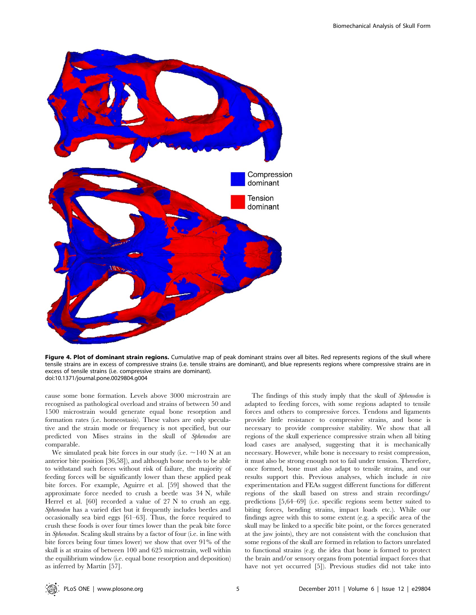

Figure 4. Plot of dominant strain regions. Cumulative map of peak dominant strains over all bites. Red represents regions of the skull where tensile strains are in excess of compressive strains (i.e. tensile strains are dominant), and blue represents regions where compressive strains are in excess of tensile strains (i.e. compressive strains are dominant). doi:10.1371/journal.pone.0029804.g004

cause some bone formation. Levels above 3000 microstrain are recognised as pathological overload and strains of between 50 and 1500 microstrain would generate equal bone resorption and formation rates (i.e. homeostasis). These values are only speculative and the strain mode or frequency is not specified, but our predicted von Mises strains in the skull of Sphenodon are comparable.

We simulated peak bite forces in our study (i.e.  $\sim$ 140 N at an anterior bite position [36,58]), and although bone needs to be able to withstand such forces without risk of failure, the majority of feeding forces will be significantly lower than these applied peak bite forces. For example, Aguirre et al. [59] showed that the approximate force needed to crush a beetle was 34 N, while Herrel et al. [60] recorded a value of 27 N to crush an egg. Sphenodon has a varied diet but it frequently includes beetles and occasionally sea bird eggs [61–63]. Thus, the force required to crush these foods is over four times lower than the peak bite force in Sphenodon. Scaling skull strains by a factor of four (i.e. in line with bite forces being four times lower) we show that over 91% of the skull is at strains of between 100 and 625 microstrain, well within the equilibrium window (i.e. equal bone resorption and deposition) as inferred by Martin [57].

The findings of this study imply that the skull of Sphenodon is adapted to feeding forces, with some regions adapted to tensile forces and others to compressive forces. Tendons and ligaments provide little resistance to compressive strains, and bone is necessary to provide compressive stability. We show that all regions of the skull experience compressive strain when all biting load cases are analysed, suggesting that it is mechanically necessary. However, while bone is necessary to resist compression, it must also be strong enough not to fail under tension. Therefore, once formed, bone must also adapt to tensile strains, and our results support this. Previous analyses, which include in vivo experimentation and FEAs suggest different functions for different regions of the skull based on stress and strain recordings/ predictions [5,64–69] (i.e. specific regions seem better suited to biting forces, bending strains, impact loads etc.). While our findings agree with this to some extent (e.g. a specific area of the skull may be linked to a specific bite point, or the forces generated at the jaw joints), they are not consistent with the conclusion that some regions of the skull are formed in relation to factors unrelated to functional strains (e.g. the idea that bone is formed to protect the brain and/or sensory organs from potential impact forces that have not yet occurred [5]). Previous studies did not take into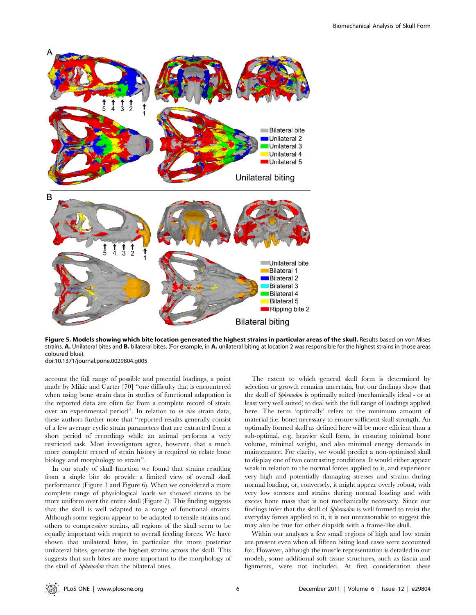

Figure 5. Models showing which bite location generated the highest strains in particular areas of the skull. Results based on von Mises strains. A. Unilateral bites and B. bilateral bites. (For example, in A. unilateral biting at location 2 was responsible for the highest strains in those areas coloured blue). doi:10.1371/journal.pone.0029804.g005

account the full range of possible and potential loadings, a point made by Mikic and Carter [70] ''one difficulty that is encountered when using bone strain data in studies of functional adaptation is the reported data are often far from a complete record of strain over an experimental period''. In relation to in vivo strain data, these authors further note that ''reported results generally consist of a few average cyclic strain parameters that are extracted from a short period of recordings while an animal performs a very restricted task. Most investigators agree, however, that a much more complete record of strain history is required to relate bone biology and morphology to strain''.

In our study of skull function we found that strains resulting from a single bite do provide a limited view of overall skull performance (Figure 3 and Figure 6). When we considered a more complete range of physiological loads we showed strains to be more uniform over the entire skull (Figure 7). This finding suggests that the skull is well adapted to a range of functional strains. Although some regions appear to be adapted to tensile strains and others to compressive strains, all regions of the skull seem to be equally important with respect to overall feeding forces. We have shown that unilateral bites, in particular the more posterior unilateral bites, generate the highest strains across the skull. This suggests that such bites are more important to the morphology of the skull of Sphenodon than the bilateral ones.

The extent to which general skull form is determined by selection or growth remains uncertain, but our findings show that the skull of Sphenodon is optimally suited (mechanically ideal - or at least very well suited) to deal with the full range of loadings applied here. The term 'optimally' refers to the minimum amount of material (i.e. bone) necessary to ensure sufficient skull strength. An optimally formed skull as defined here will be more efficient than a sub-optimal, e.g. heavier skull form, in ensuring minimal bone volume, minimal weight, and also minimal energy demands in maintenance. For clarity, we would predict a non-optimised skull to display one of two contrasting conditions. It would either appear weak in relation to the normal forces applied to it, and experience very high and potentially damaging stresses and strains during normal loading, or, conversely, it might appear overly robust, with very low stresses and strains during normal loading and with excess bone mass that is not mechanically necessary. Since our findings infer that the skull of Sphenodon is well formed to resist the everyday forces applied to it, it is not unreasonable to suggest this may also be true for other diapsids with a frame-like skull.

Within our analyses a few small regions of high and low strain are present even when all fifteen biting load cases were accounted for. However, although the muscle representation is detailed in our models, some additional soft tissue structures, such as fascia and ligaments, were not included. At first consideration these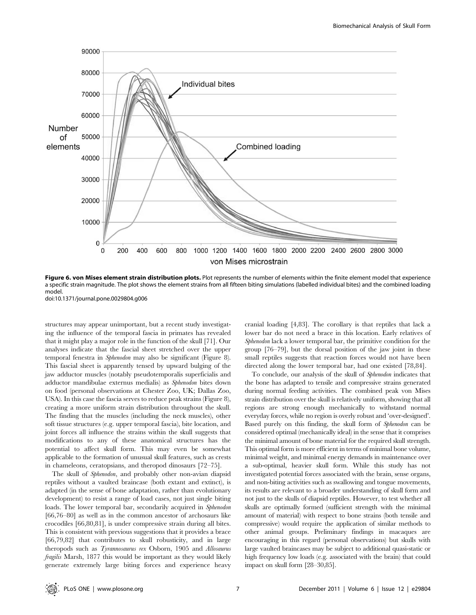

Figure 6. von Mises element strain distribution plots. Plot represents the number of elements within the finite element model that experience a specific strain magnitude. The plot shows the element strains from all fifteen biting simulations (labelled individual bites) and the combined loading model. doi:10.1371/journal.pone.0029804.g006

structures may appear unimportant, but a recent study investigating the influence of the temporal fascia in primates has revealed that it might play a major role in the function of the skull [71]. Our analyses indicate that the fascial sheet stretched over the upper temporal fenestra in Sphenodon may also be significant (Figure 8). This fascial sheet is apparently tensed by upward bulging of the jaw adductor muscles (notably pseudotemporalis superficialis and adductor mandibulae externus medialis) as Sphenodon bites down on food (personal observations at Chester Zoo, UK; Dallas Zoo, USA). In this case the fascia serves to reduce peak strains (Figure 8), creating a more uniform strain distribution throughout the skull. The finding that the muscles (including the neck muscles), other soft tissue structures (e.g. upper temporal fascia), bite location, and joint forces all influence the strains within the skull suggests that modifications to any of these anatomical structures has the potential to affect skull form. This may even be somewhat applicable to the formation of unusual skull features, such as crests in chameleons, ceratopsians, and theropod dinosaurs [72–75].

The skull of Sphenodon, and probably other non-avian diapsid reptiles without a vaulted braincase (both extant and extinct), is adapted (in the sense of bone adaptation, rather than evolutionary development) to resist a range of load cases, not just single biting loads. The lower temporal bar, secondarily acquired in Sphenodon [66,76–80] as well as in the common ancestor of archosaurs like crocodiles [66,80,81], is under compressive strain during all bites. This is consistent with previous suggestions that it provides a brace [66,79,82] that contributes to skull robusticity, and in large theropods such as Tyrannosaurus rex Osborn, 1905 and Allosaurus fragilis Marsh, 1877 this would be important as they would likely generate extremely large biting forces and experience heavy

cranial loading [4,83]. The corollary is that reptiles that lack a lower bar do not need a brace in this location. Early relatives of Sphenodon lack a lower temporal bar, the primitive condition for the group [76–79], but the dorsal position of the jaw joint in these small reptiles suggests that reaction forces would not have been directed along the lower temporal bar, had one existed [78,84].

To conclude, our analysis of the skull of Sphenodon indicates that the bone has adapted to tensile and compressive strains generated during normal feeding activities. The combined peak von Mises strain distribution over the skull is relatively uniform, showing that all regions are strong enough mechanically to withstand normal everyday forces, while no region is overly robust and 'over-designed'. Based purely on this finding, the skull form of Sphenodon can be considered optimal (mechanically ideal) in the sense that it comprises the minimal amount of bone material for the required skull strength. This optimal form is more efficient in terms of minimal bone volume, minimal weight, and minimal energy demands in maintenance over a sub-optimal, heavier skull form. While this study has not investigated potential forces associated with the brain, sense organs, and non-biting activities such as swallowing and tongue movements, its results are relevant to a broader understanding of skull form and not just to the skulls of diapsid reptiles. However, to test whether all skulls are optimally formed (sufficient strength with the minimal amount of material) with respect to bone strains (both tensile and compressive) would require the application of similar methods to other animal groups. Preliminary findings in macaques are encouraging in this regard (personal observations) but skulls with large vaulted braincases may be subject to additional quasi-static or high frequency low loads (e.g. associated with the brain) that could impact on skull form [28–30,85].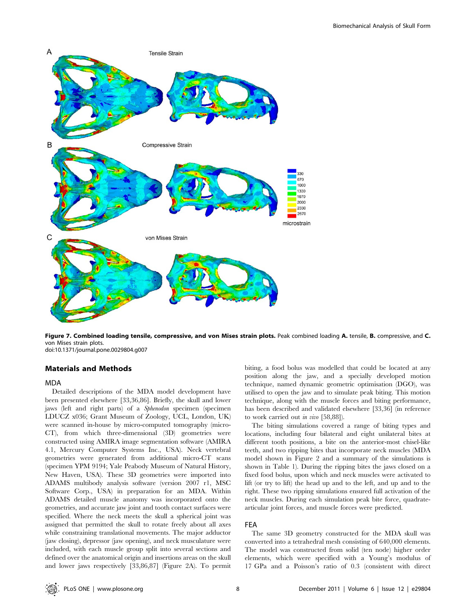

Figure 7. Combined loading tensile, compressive, and von Mises strain plots. Peak combined loading A. tensile, B. compressive, and C. von Mises strain plots. doi:10.1371/journal.pone.0029804.g007

# Materials and Methods

#### MDA

Detailed descriptions of the MDA model development have been presented elsewhere [33,36,86]. Briefly, the skull and lower jaws (left and right parts) of a Sphenodon specimen (specimen LDUCZ x036; Grant Museum of Zoology, UCL, London, UK) were scanned in-house by micro-computed tomography (micro-CT), from which three-dimensional (3D) geometries were constructed using AMIRA image segmentation software (AMIRA 4.1, Mercury Computer Systems Inc., USA). Neck vertebral geometries were generated from additional micro-CT scans (specimen YPM 9194; Yale Peabody Museum of Natural History, New Haven, USA). These 3D geometries were imported into ADAMS multibody analysis software (version 2007 r1, MSC Software Corp., USA) in preparation for an MDA. Within ADAMS detailed muscle anatomy was incorporated onto the geometries, and accurate jaw joint and tooth contact surfaces were specified. Where the neck meets the skull a spherical joint was assigned that permitted the skull to rotate freely about all axes while constraining translational movements. The major adductor (jaw closing), depressor (jaw opening), and neck musculature were included, with each muscle group split into several sections and defined over the anatomical origin and insertions areas on the skull and lower jaws respectively [33,86,87] (Figure 2A). To permit biting, a food bolus was modelled that could be located at any position along the jaw, and a specially developed motion technique, named dynamic geometric optimisation (DGO), was utilised to open the jaw and to simulate peak biting. This motion technique, along with the muscle forces and biting performance, has been described and validated elsewhere [33,36] (in reference to work carried out *in vivo* [58,88]).

The biting simulations covered a range of biting types and locations, including four bilateral and eight unilateral bites at different tooth positions, a bite on the anterior-most chisel-like teeth, and two ripping bites that incorporate neck muscles (MDA model shown in Figure 2 and a summary of the simulations is shown in Table 1). During the ripping bites the jaws closed on a fixed food bolus, upon which and neck muscles were activated to lift (or try to lift) the head up and to the left, and up and to the right. These two ripping simulations ensured full activation of the neck muscles. During each simulation peak bite force, quadratearticular joint forces, and muscle forces were predicted.

# FEA

The same 3D geometry constructed for the MDA skull was converted into a tetrahedral mesh consisting of 640,000 elements. The model was constructed from solid (ten node) higher order elements, which were specified with a Young's modulus of 17 GPa and a Poisson's ratio of 0.3 (consistent with direct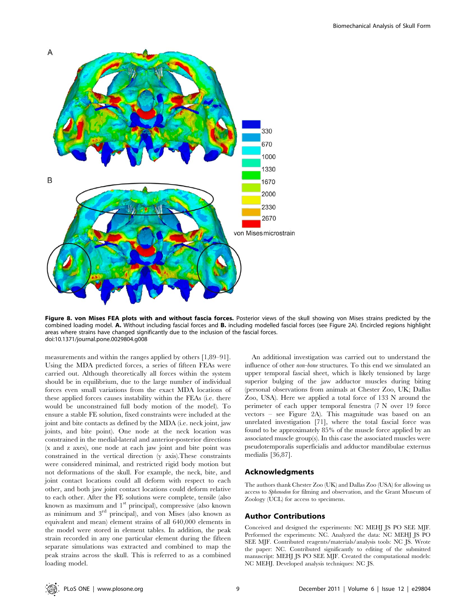

Figure 8. von Mises FEA plots with and without fascia forces. Posterior views of the skull showing von Mises strains predicted by the combined loading model. A. Without including fascial forces and B. including modelled fascial forces (see Figure 2A). Encircled regions highlight areas where strains have changed significantly due to the inclusion of the fascial forces. doi:10.1371/journal.pone.0029804.g008

measurements and within the ranges applied by others [1,89–91]. Using the MDA predicted forces, a series of fifteen FEAs were carried out. Although theoretically all forces within the system should be in equilibrium, due to the large number of individual forces even small variations from the exact MDA locations of these applied forces causes instability within the FEAs (i.e. there would be unconstrained full body motion of the model). To ensure a stable FE solution, fixed constraints were included at the joint and bite contacts as defined by the MDA (i.e. neck joint, jaw joints, and bite point). One node at the neck location was constrained in the medial-lateral and anterior-posterior directions (x and z axes), one node at each jaw joint and bite point was constrained in the vertical direction (y axis).These constraints were considered minimal, and restricted rigid body motion but not deformations of the skull. For example, the neck, bite, and joint contact locations could all deform with respect to each other, and both jaw joint contact locations could deform relative to each other. After the FE solutions were complete, tensile (also known as maximum and  $1<sup>st</sup>$  principal), compressive (also known as minimum and 3rd principal), and von Mises (also known as equivalent and mean) element strains of all 640,000 elements in the model were stored in element tables. In addition, the peak strain recorded in any one particular element during the fifteen separate simulations was extracted and combined to map the peak strains across the skull. This is referred to as a combined loading model.

An additional investigation was carried out to understand the influence of other non-bone structures. To this end we simulated an upper temporal fascial sheet, which is likely tensioned by large superior bulging of the jaw adductor muscles during biting (personal observations from animals at Chester Zoo, UK; Dallas Zoo, USA). Here we applied a total force of 133 N around the perimeter of each upper temporal fenestra (7 N over 19 force vectors – see Figure 2A). This magnitude was based on an unrelated investigation [71], where the total fascial force was found to be approximately 85% of the muscle force applied by an associated muscle group(s). In this case the associated muscles were pseudotemporalis superficialis and adductor mandibulae externus medialis [36,87].

# Acknowledgments

The authors thank Chester Zoo (UK) and Dallas Zoo (USA) for allowing us access to Sphenodon for filming and observation, and the Grant Museum of Zoology (UCL) for access to specimens.

# Author Contributions

Conceived and designed the experiments: NC MEHJ JS PO SEE MJF. Performed the experiments: NC. Analyzed the data: NC MEHJ JS PO SEE MJF. Contributed reagents/materials/analysis tools: NC JS. Wrote the paper: NC. Contributed significantly to editing of the submitted manuscript: MEHJ JS PO SEE MJF. Created the computational models: NC MEHJ. Developed analysis techniques: NC JS.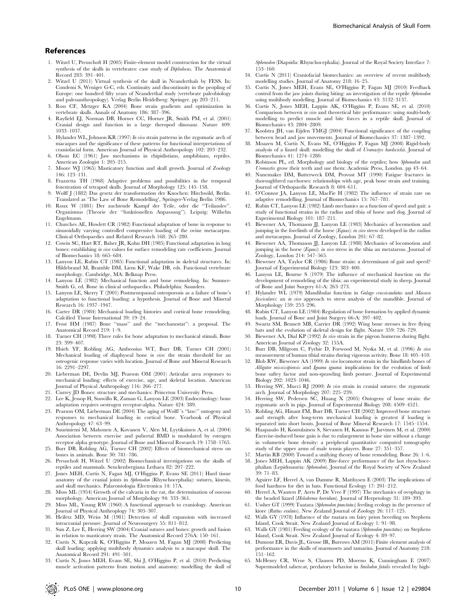- 1. Witzel U, Preuschoft H (2005) Finite-element model construction for the virtual synthesis of the skulls in vertebrates: case study of Diplodocus. The Anatomical Record 283: 391–401.
- 2. Witzel U (2011) Virtual synthesis of the skull in Neanderthals by FESS. In: Condemi S, Weniger G-C, eds. Continuity and discontinuity in the peopling of Europe: one hundred fifty years of Neanderthal study (vertebrate paleobiology and paleoanthropology). Verlag Berlin Heidelberg: Springer. pp 203–211.
- 3. Ross CF, Metzger KA (2004) Bone strain gradients and optimization in vertebrate skulls. Annals of Anatomy 186: 387–396.
- 4. Rayfield EJ, Norman DB, Horner CC, Horner JR, Smith PM, et al. (2001) Cranial design and function in a large theropod dinosaur. Nature 409: 1033–1037.
- 5. Hylander WL, Johnson KR (1997) In vivo strain patterns in the zygomatic arch of macaques and the significance of these patterns for functional interpretations of craniofacial form. American Journal of Physical Anthropology 102: 203–232.
- 6. Olson EC (1961) Jaw mechanisms in rhipidistians, amphibians, reptiles. American Zoologist 1: 205–215.
- 7. Moore WJ (1965) Masticatory function and skull growth. Journal of Zoology 146: 123–131.
- 8. Frazzetta TH (1968) Adaptive problems and possibilities in the temporal fenestration of tetrapod skulls. Journal of Morphology 125: 145–158.
- 9. Wolff J (1882) Das gesetz der transformation der Knochen: Hirchwild, Berlin. Translated as 'The Law of Bone Remodelling', Springer-Verlag Berlin 1986.
- 10. Roux W (1881) Der zuchtende Kampf der Teile, oder die ''Teilauslee''. Organismus (Theorie der ''funktionellen Anpassung''). Leipzig: Wilhelm Engelmann.
- 11. Churches AE, Howlett CR (1982) Functional adaptation of bone in response to sinusoidally varying controlled compressive loading of the ovine metacarpus. Clinical Orthopaedics and Related Research 168: 265–280.
- 12. Cowin SC, Hart RT, Balser JR, Kohn DH (1985) Functional adaptation in long bones: establishing in vivo values for surface remodeling rate coefficients. Journal of Biomechanics 18: 665–684.
- 13. Lanyon LE, Rubin CT (1985) Functional adaptation in skeletal structures. In: Hildebrand M, Bramble DM, Liem KF, Wake DB, eds. Functional vertebrate morphology. Cambridge, MA: Belknap Press.
- 14. Lanyon LE (1982) Mechanical function and bone remodeling. In: Sumner-Smith G, ed. Bone in clinical orthopaedics. Philadelphia: Saunders.
- 15. Lanyon LE, Skerry T (2001) Postmenopausal osteoporosis as a failure of bone's adaptation to functional loading: a hypothesis. Journal of Bone and Mineral Research 16: 1937–1947.
- 16. Carter DR (1984) Mechanical loading histories and cortical bone remodeling. Calcified Tissue International 39: 19–24.
- 17. Frost HM (1987) Bone ''mass'' and the ''mechanostat'': a proposal. The Anatomical Record 219: 1–9.
- 18. Turner CH (1998) Three rules for bone adaptation to mechanical stimuli. Bone 23: 399–407.
- 19. Hsieh YF, Robling AG, Ambrosius WT, Burr DB, Turner CH (2001) Mechanical loading of diaphyseal bone  $\dot{m}$  vivo: the strain threshold for an osteogenic response varies with location. Journal of Bone and Mineral Research 16: 2291–2297.
- 20. Lieberman DE, Devlin MJ, Pearson OM (2001) Articular area responses to mechanical loading: effects of exercise, age, and skeletal location. American Journal of Physical Anthropology 116: 266–277.
- 21. Currey JD Bones: structure and mechanics: Princeton University Press.
- 22. Lee K, Jessop H, Suswillo R, Zaman G, Lanyon LE (2003) Endocrinology: bone adaptation requires oestrogen receptor-alpha. Nature 424: 389.
- 23. Pearson OM, Lieberman DE (2004) The aging of Wolff 's ''law:'' ontogeny and responses to mechanical loading in cortical bone. Yearbook of Physical Anthropology 47: 63–99.
- 24. Suuriniemi M, Mahonen A, Kovanen V, Alen M, Lyytikainen A, et al. (2004) Association between exercise and pubertal BMD is modulated by estrogen receptor alpha genotype. Journal of Bone and Mineral Research 19: 1758–1765.
- 25. Burr DB, Robling AG, Turner CH (2002) Effects of biomechanical stress on bones in animals. Bone 30: 781–786.
- 26. Preuschoft H, Witzel U (2002) Biomechanical investigations on the skulls of reptiles and mammals. Senckenbergiana Lethaea 82: 207–222.
- 27. Jones MEH, Curtis N, Fagan MJ, O'Higgins P, Evans SE (2011) Hard tissue anatomy of the cranial joints in Sphenodon (Rhynchocephalia): sutures, kinesis, and skull mechanics. Palaeontologia Electronica 14: 17A.
- 28. Moss ML (1954) Growth of the calvaria in the rat, the determination of osseous morphology. American Journal of Morphology 94: 333–361.
- 29. Moss ML, Young RW (1960) A functional approach to craniology. American Journal of Physical Anthroplogy 74: 305–307.
- 30. Heifetz MD, Weiss M (1981) Detection of skull expansion with increased intracranial pressure. Journal of Neurosurgery 55: 811–812.
- 31. Sun Z, Lee E, Herring SW (2004) Cranial sutures and bones: growth and fusion in relation to masticatory strain. The Anatomical Record 276A: 150–161.
- 32. Curtis N, Kupczik K, O'Higgins P, Moazen M, Fagan MJ (2008) Predicting skull loading: applying multibody dynamics analysis to a macaque skull. The Anatomical Record 291: 491–501.
- 33. Curtis N, Jones MEH, Evans SE, Shi J, O'Higgins P, et al. (2010) Predicting muscle activation patterns from motion and anatomy: modelling the skull of

Sphenodon (Diapsida: Rhynchocephalia). Journal of the Royal Society Interface 7: 153–160.

- 34. Curtis N (2011) Craniofacial biomechanics: an overview of recent multibody modelling studies. Journal of Anatomy 218: 16–25.
- 35. Curtis N, Jones MEH, Evans SE, O'Higgins P, Fagan MJ (2010) Feedback control from the jaw joints during biting: an investigation of the reptile Sphenodon using multibody modelling. Journal of Biomechanics 43: 3132–3137.
- 36. Curtis N, Jones MEH, Lappin AK, O'Higgins P, Evans SE, et al. (2010) Comparison between in vivo and theoretical bite performance: using multi-body modelling to predict muscle and bite forces in a reptile skull. Journal of Biomechanics 43: 2804–2809.
- 37. Koolstra JH, van Eijden TMGJ (2004) Functional significance of the coupling between head and jaw movements. Journal of Biomechanics 37: 1387–1392.
- 38. Moazen M, Curtis N, Evans SE, O'Higgins P, Fagan MJ (2008) Rigid-body analysis of a lizard skull: modelling the skull of Uromastyx hardwickii. Journal of Biomechanics 41: 1274–1280.
- 39. Robinson PL, ed. Morphology and biology of the reptiles; how Sphenodon and Uromastix grow their teeth and use them: Academic Press, London. pp 43–64.
- 40. Nunemaker DM, Butterweck DM, Provost MT (1990) Fatigue fractures in thoroughbred racehorses: relationships with age, peak bone strain and training. Journal of Orthopaedic Research 8: 604–611.
- 41. O'Connor JA, Lanyon LE, MacFie H (1982) The influence of strain rate on adaptive remodelling. Journal of Biomechanics 15: 767–781.
- 42. Rubin CT, Lanyon LE (1982) Limb mechanics as a function of speed and gait: a study of functional strains in the radius and tibia of horse and dog. Journal of Experimental Biology 101: 187–211.
- 43. Biewener AA, Thomason JJ, Lanyon LE (1983) Mechanics of locomotion and jumping in the forelimb of the horse (Equus): in vivo stress developed in the radius and metacarpus. Journal of Zoology, London 201: 67–82.
- 44. Biewener AA, Thomason JJ, Lanyon LE (1988) Mechanics of locomotion and jumping in the horse (Equus): in vivo stress in the tibia an metatarsus. Journal of Zoology, London 214: 547–565.
- 45. Biewener AA, Taylor CR (1986) Bone strain: a determinant of gait and speed? Journal of Experimental Biology 123: 383–400.
- 46. Lanyon LE, Bourne S (1979) The influence of mechanical function on the development of remodeling of the tibia: an experimental study in sheep. Journal of Bone and Joint Surgery 61-A: 263–273.
- 47. Hylander WL (1979) Mandibular function in Galago crassicaudatus and Macaca fascicularis: an in vivo approach to stress analysis of the mandible. Journal of Morphology 159: 253–296.
- 48. Rubin CT, Lanyon LE (1984) Regulation of bone formation by applied dynamic loads. Journal of Bone and Joint Surgery 66-A: 397–402.
- 49. Swartz SM, Bennett MB, Carrier DR (1992) Wing bone stresses in free flying bats and the evolution of skeletal design for flight. Nature 359: 726–729.
- 50. Biewener AA, Dial KP (1992) In vivo strain in the pigeon humerus during flight. American Journal of Zoology 32: 155A.
- 51. Burr DB, Milgrom C, Fyrhie D, Forwood M, Nyska M, et al. (1996) In vivo measurement of human tibial strains during vigorous activity. Bone 18: 405–410.
- 52. Blob RW, Biewener AA (1999) In vivo locomotor strain in the hindlimb bones of Alligator mississipiensis and Iguana iguana: implications for the evolution of limb bone saftey factor and non-sprawling limb posture. Journal of Experimental Biology 202: 1023–1046.
- 53. Herring SW, Mucci RJ (2000) In vivo strain in cranial sutures: the zygomatic arch. Journal of Morphology 207: 225–239.
- 54. Herring SW, Pedersen SC, Huang X (2005) Ontogeny of bone strain: the zygomatic arch in pigs. Journal of Experimental Biology 208: 4509–4521.
- 55. Robling AG, Hinant FM, Burr DB, Turner CH (2002) Improved bone structure and strength after long-term mechanical loading is greatest if loading is separated into short bouts. Journal of Bone Mineral Research 17: 1545–1554.
- 56. Haapasalo H, Kontulainen S, Sievanen H, Kannus P, Jarvinen M, et al. (2000) Exercise-induced bone gain is due to enlargement in bone size without a change in volumetric bone density: a peripheral quantitative computed tomography study of the upper arms of male tennis players. Bone 27: 351–357.
- 57. Martin RB (2000) Toward a unifying theory of bone remodeling. Bone 26: 1–6.
- 58. Jones MEH, Lappin AK (2009) Bite-force performance of the last rhynchocephalian (Lepidosauria: Sphenodon). Journal of the Royal Society of New Zealand 39: 71–83.
- 59. Aguirre LF, Herrel A, van Damme R, Matthysen E (2003) The implications of food hardness for diet in bats. Functional Ecology 17: 201–212.
- 60. Herrel A, Wauters P, Aerts P, De Vree F (1997) The mechanics of ovophagy in the beaded lizard (Heloderma horridum). Journal of Herpetology 31: 189–393.
- 61. Ussher GT (1999) Tuatara (Sphenodon punctatus) feeding ecology in the presence of kiore (Rattus exulans). New Zealand Journal of Zoology 26: 117–125.
- 62. Walls GY (1978) Influence of the tuatara on fairy prion breeding on Stephens Island, Cook Strait. New Zealand Journal of Ecology 1: 91–98.
- 63. Walls GY (1981) Feeding ecology of the tuatara (Sphenodon punctatus) on Stephens Island, Cook Strait. New Zealand Journal of Ecology 4: 89–97.
- 64. Dumont ER, Davis JL, Grosse IR, Burrows AM (2011) Finite element analysis of performance in the skulls of marmosets and tamarins. Journal of Anatomy 218: 151–162.
- 65. McHenry CR, Wroe S, Clausen PD, Moreno K, Cunningham E (2007) Supermodeled sabercat, predatory behavior in Smilodon fatalis revealed by high-